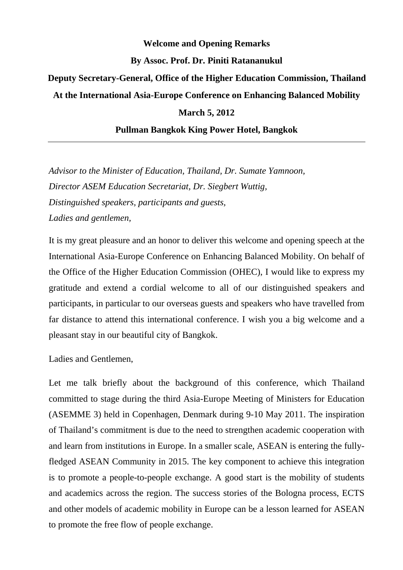## **Welcome and Opening Remarks By Assoc. Prof. Dr. Piniti Ratananukul Deputy Secretary-General, Office of the Higher Education Commission, Thailand At the International Asia-Europe Conference on Enhancing Balanced Mobility March 5, 2012**

## **Pullman Bangkok King Power Hotel, Bangkok**

*Advisor to the Minister of Education, Thailand, Dr. Sumate Yamnoon, Director ASEM Education Secretariat, Dr. Siegbert Wuttig, Distinguished speakers, participants and guests, Ladies and gentlemen,* 

It is my great pleasure and an honor to deliver this welcome and opening speech at the International Asia-Europe Conference on Enhancing Balanced Mobility. On behalf of the Office of the Higher Education Commission (OHEC), I would like to express my gratitude and extend a cordial welcome to all of our distinguished speakers and participants, in particular to our overseas guests and speakers who have travelled from far distance to attend this international conference. I wish you a big welcome and a pleasant stay in our beautiful city of Bangkok.

Ladies and Gentlemen,

Let me talk briefly about the background of this conference, which Thailand committed to stage during the third Asia-Europe Meeting of Ministers for Education (ASEMME 3) held in Copenhagen, Denmark during 9-10 May 2011. The inspiration of Thailand's commitment is due to the need to strengthen academic cooperation with and learn from institutions in Europe. In a smaller scale, ASEAN is entering the fullyfledged ASEAN Community in 2015. The key component to achieve this integration is to promote a people-to-people exchange. A good start is the mobility of students and academics across the region. The success stories of the Bologna process, ECTS and other models of academic mobility in Europe can be a lesson learned for ASEAN to promote the free flow of people exchange.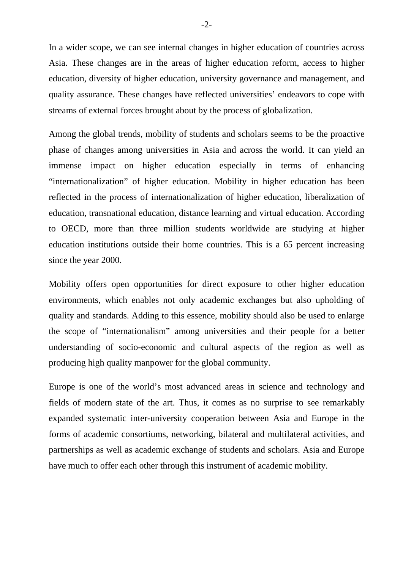In a wider scope, we can see internal changes in higher education of countries across Asia. These changes are in the areas of higher education reform, access to higher education, diversity of higher education, university governance and management, and quality assurance. These changes have reflected universities' endeavors to cope with streams of external forces brought about by the process of globalization.

Among the global trends, mobility of students and scholars seems to be the proactive phase of changes among universities in Asia and across the world. It can yield an immense impact on higher education especially in terms of enhancing "internationalization" of higher education. Mobility in higher education has been reflected in the process of internationalization of higher education, liberalization of education, transnational education, distance learning and virtual education. According to OECD, more than three million students worldwide are studying at higher education institutions outside their home countries. This is a 65 percent increasing since the year 2000.

Mobility offers open opportunities for direct exposure to other higher education environments, which enables not only academic exchanges but also upholding of quality and standards. Adding to this essence, mobility should also be used to enlarge the scope of "internationalism" among universities and their people for a better understanding of socio-economic and cultural aspects of the region as well as producing high quality manpower for the global community.

Europe is one of the world's most advanced areas in science and technology and fields of modern state of the art. Thus, it comes as no surprise to see remarkably expanded systematic inter-university cooperation between Asia and Europe in the forms of academic consortiums, networking, bilateral and multilateral activities, and partnerships as well as academic exchange of students and scholars. Asia and Europe have much to offer each other through this instrument of academic mobility.